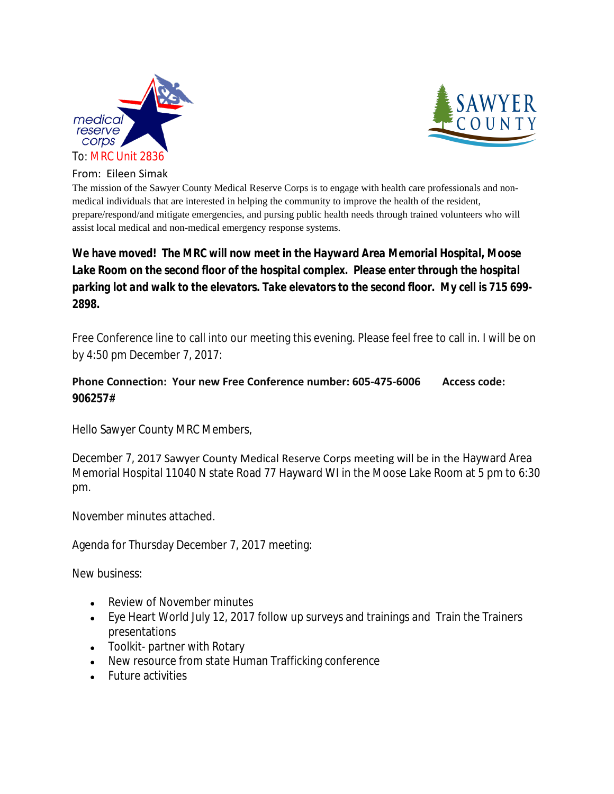



From: Eileen Simak

The mission of the Sawyer County Medical Reserve Corps is to engage with health care professionals and nonmedical individuals that are interested in helping the community to improve the health of the resident, prepare/respond/and mitigate emergencies, and pursing public health needs through trained volunteers who will assist local medical and non-medical emergency response systems.

## *We have moved! The MRC will now meet in the Hayward Area Memorial Hospital, Moose Lake Room on the second floor of the hospital complex. Please enter through the hospital parking lot and walk to the elevators. Take elevators to the second floor. My cell is 715 699- 2898.*

Free Conference line to call into our meeting this evening. Please feel free to call in. I will be on by 4:50 pm December 7, 2017:

## **Phone Connection: Your new Free Conference number: 605-475-6006 Access code: 906257#**

Hello Sawyer County MRC Members,

December 7, 2017 Sawyer County Medical Reserve Corps meeting will be in the Hayward Area Memorial Hospital 11040 N state Road 77 Hayward WI in the Moose Lake Room at 5 pm to 6:30 pm.

November minutes attached.

Agenda for Thursday December 7, 2017 meeting:

New business:

- Review of November minutes
- Eye Heart World July 12, 2017 follow up surveys and trainings and Train the Trainers presentations
- Toolkit- partner with Rotary
- New resource from state Human Trafficking conference
- Future activities